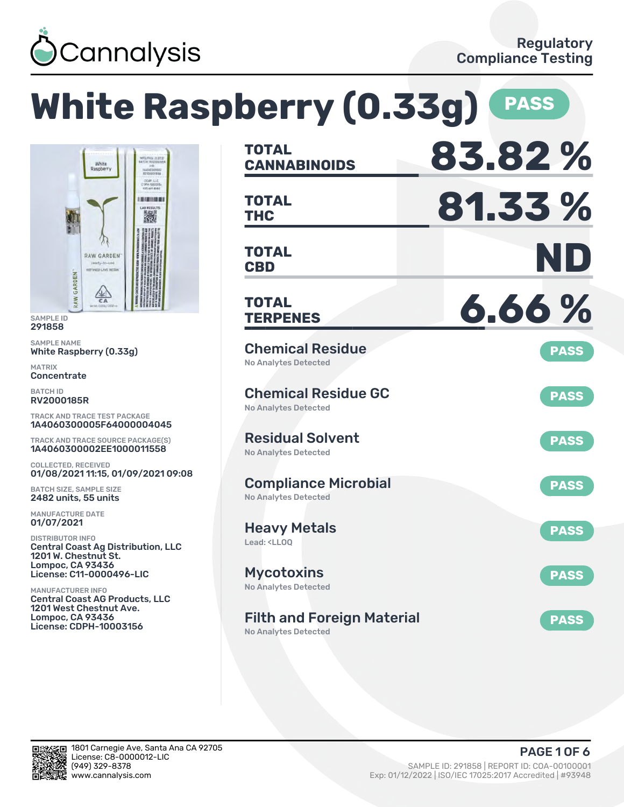

**White Raspberry (0.33g) PASS CANNABINOIDS 83.82 % TOTAL** CCAP, LLC **THC 81.33 %** 101001010 **TOTAL** . H **CBD ND TOTAL** RAW GARDENT REFINED LIVE RESIN  $\frac{\sqrt{11}}{C_A}$ **TERPENES 6.66 % TOTAL** Chemical Residue **PASS** White Raspberry (0.33g) No Analytes Detected Chemical Residue GC **PASS** No Analytes Detected TRACK AND TRACE TEST PACKAGE 1A4060300005F64000004045 Residual Solvent TRACK AND TRACE SOURCE PACKAGE(S) **PASS** 1A4060300002EE1000011558 No Analytes Detected COLLECTED, RECEIVED 01/08/2021 11:15, 01/09/2021 09:08 Compliance Microbial **PASS** BATCH SIZE, SAMPLE SIZE No Analytes Detected 2482 units, 55 units MANUFACTURE DATE Heavy Metals **PASS** Lead: <LLOQ Central Coast Ag Distribution, LLC 1201 W. Chestnut St. Lompoc, CA 93436 License: C11-0000496-LIC Mycotoxins **PASS** No Analytes Detected MANUFACTURER INFO Central Coast AG Products, LLC 1201 West Chestnut Ave. Lompoc, CA 93436 Filth and Foreign Material **PASS** License: CDPH-10003156

No Analytes Detected



SAMPLE ID 291858 SAMPLE NAME

RAW GARDEN

MATRIX **Concentrate** BATCH ID RV2000185R

01/07/2021 DISTRIBUTOR INFO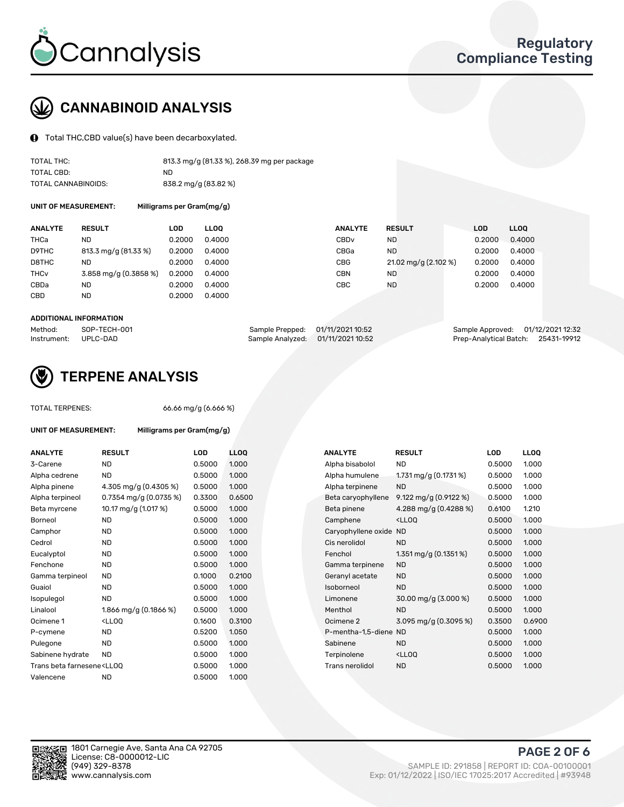

# CANNABINOID ANALYSIS

Total THC,CBD value(s) have been decarboxylated.

| TOTAL THC:          | 813.3 mg/g (81.33 %), 268.39 mg per package |
|---------------------|---------------------------------------------|
| TOTAL CBD:          | ND.                                         |
| TOTAL CANNABINOIDS: | 838.2 mg/g (83.82 %)                        |

UNIT OF MEASUREMENT: Milligrams per Gram(mg/g)

| <b>ANALYTE</b>         | <b>RESULT</b>         | <b>LOD</b> | <b>LLOO</b> | <b>ANALYTE</b>   | <b>RESULT</b>        | LOD    | LL <sub>00</sub> |
|------------------------|-----------------------|------------|-------------|------------------|----------------------|--------|------------------|
| THCa                   | ND                    | 0.2000     | 0.4000      | CBD <sub>v</sub> | <b>ND</b>            | 0.2000 | 0.4000           |
| D9THC                  | 813.3 mg/g (81.33 %)  | 0.2000     | 0.4000      | CBGa             | <b>ND</b>            | 0.2000 | 0.4000           |
| D8THC                  | ND                    | 0.2000     | 0.4000      | <b>CBG</b>       | 21.02 mg/g (2.102 %) | 0.2000 | 0.4000           |
| <b>THC<sub>V</sub></b> | 3.858 mg/g (0.3858 %) | 0.2000     | 0.4000      | <b>CBN</b>       | <b>ND</b>            | 0.2000 | 0.4000           |
| CBDa                   | ND                    | 0.2000     | 0.4000      | CBC              | <b>ND</b>            | 0.2000 | 0.4000           |
| CBD                    | <b>ND</b>             | 0.2000     | 0.4000      |                  |                      |        |                  |
|                        |                       |            |             |                  |                      |        |                  |

#### ADDITIONAL INFORMATION

| Method:              | SOP-TECH-001 | Sample Prepped: 01/11/2021 10:52  | Sample Approved: 01/12/2021 12:32  |  |
|----------------------|--------------|-----------------------------------|------------------------------------|--|
| Instrument: UPLC-DAD |              | Sample Analyzed: 01/11/2021 10:52 | Prep-Analytical Batch: 25431-19912 |  |



## **(V)** TERPENE ANALYSIS

| <b>TOTAL TERPENES:</b>                                                           |                                                    | 66.66 mg/g (6.666 %) |                  |
|----------------------------------------------------------------------------------|----------------------------------------------------|----------------------|------------------|
| <b>UNIT OF MEASUREMENT:</b>                                                      | Milligrams per Gram(mg/g)                          |                      |                  |
| <b>ANALYTE</b>                                                                   | <b>RESULT</b>                                      | LOD                  | LL <sub>00</sub> |
| 3-Carene                                                                         | <b>ND</b>                                          | 0.5000               | 1.000            |
| Alpha cedrene                                                                    | <b>ND</b>                                          | 0.5000               | 1.000            |
| Alpha pinene                                                                     | 4.305 mg/g (0.4305 %)                              | 0.5000               | 1.000            |
| Alpha terpineol                                                                  | $0.7354$ mg/g $(0.0735\%)$                         | 0.3300               | 0.650            |
| Beta myrcene                                                                     | 10.17 mg/g (1.017 %)                               | 0.5000               | 1.000            |
| Borneol                                                                          | <b>ND</b>                                          | 0.5000               | 1.000            |
| Camphor                                                                          | <b>ND</b>                                          | 0.5000               | 1.000            |
| Cedrol                                                                           | <b>ND</b>                                          | 0.5000               | 1.000            |
| Eucalyptol                                                                       | <b>ND</b>                                          | 0.5000               | 1.000            |
| Fenchone                                                                         | <b>ND</b>                                          | 0.5000               | 1.000            |
| Gamma terpineol                                                                  | <b>ND</b>                                          | 0.1000               | 0.210            |
| Guaiol                                                                           | <b>ND</b>                                          | 0.5000               | 1.000            |
| Isopulegol                                                                       | ND.                                                | 0.5000               | 1.000            |
| Linalool                                                                         | 1.866 mg/g (0.1866 %)                              | 0.5000               | 1.000            |
| Ocimene 1                                                                        | <ll00< td=""><td>0.1600</td><td>0.310</td></ll00<> | 0.1600               | 0.310            |
| P-cymene                                                                         | ND.                                                | 0.5200               | 1.050            |
| Pulegone                                                                         | <b>ND</b>                                          | 0.5000               | 1.000            |
| Sabinene hydrate                                                                 | <b>ND</b>                                          | 0.5000               | 1.000            |
| Trans beta farnesene <ll00< td=""><td></td><td>0.5000</td><td>1.000</td></ll00<> |                                                    | 0.5000               | 1.000            |
| Valencene                                                                        | <b>ND</b>                                          | 0.5000               | 1.000            |
|                                                                                  |                                                    |                      |                  |
|                                                                                  |                                                    |                      |                  |

| <b>ANALYTE</b>                                                                                                                                          | <b>RESULT</b>                                                                                                                                  | LOD    | <b>LLOQ</b> | <b>ANALYTE</b>         | <b>RESULT</b>                                      | <b>LOD</b> | <b>LLOQ</b> |
|---------------------------------------------------------------------------------------------------------------------------------------------------------|------------------------------------------------------------------------------------------------------------------------------------------------|--------|-------------|------------------------|----------------------------------------------------|------------|-------------|
| 3-Carene                                                                                                                                                | <b>ND</b>                                                                                                                                      | 0.5000 | 1.000       | Alpha bisabolol        | <b>ND</b>                                          | 0.5000     | 1.000       |
| Alpha cedrene                                                                                                                                           | <b>ND</b>                                                                                                                                      | 0.5000 | 1.000       | Alpha humulene         | 1.731 mg/g $(0.1731\%)$                            | 0.5000     | 1.000       |
| Alpha pinene                                                                                                                                            | 4.305 mg/g (0.4305 %)                                                                                                                          | 0.5000 | 1.000       | Alpha terpinene        | <b>ND</b>                                          | 0.5000     | 1.000       |
| Alpha terpineol                                                                                                                                         | 0.7354 mg/g $(0.0735\%)$                                                                                                                       | 0.3300 | 0.6500      | Beta caryophyllene     | 9.122 mg/g (0.9122 %)                              | 0.5000     | 1.000       |
| Beta myrcene                                                                                                                                            | 10.17 mg/g (1.017 %)                                                                                                                           | 0.5000 | 1.000       | Beta pinene            | 4.288 mg/g (0.4288 %)                              | 0.6100     | 1.210       |
| Borneol                                                                                                                                                 | ND                                                                                                                                             | 0.5000 | 1.000       | Camphene               | <lloq< td=""><td>0.5000</td><td>1.000</td></lloq<> | 0.5000     | 1.000       |
| Camphor                                                                                                                                                 | <b>ND</b>                                                                                                                                      | 0.5000 | 1.000       | Caryophyllene oxide ND |                                                    | 0.5000     | 1.000       |
| Cedrol                                                                                                                                                  | <b>ND</b>                                                                                                                                      | 0.5000 | 1.000       | Cis nerolidol          | <b>ND</b>                                          | 0.5000     | 1.000       |
| Eucalyptol                                                                                                                                              | <b>ND</b>                                                                                                                                      | 0.5000 | 1.000       | Fenchol                | 1.351 mg/g $(0.1351\%)$                            | 0.5000     | 1.000       |
| Fenchone                                                                                                                                                | ND                                                                                                                                             | 0.5000 | 1.000       | Gamma terpinene        | <b>ND</b>                                          | 0.5000     | 1.000       |
| Gamma terpineol                                                                                                                                         | <b>ND</b>                                                                                                                                      | 0.1000 | 0.2100      | Geranyl acetate        | <b>ND</b>                                          | 0.5000     | 1.000       |
| Guaiol                                                                                                                                                  | <b>ND</b>                                                                                                                                      | 0.5000 | 1.000       | Isoborneol             | <b>ND</b>                                          | 0.5000     | 1.000       |
| Isopulegol                                                                                                                                              | ND                                                                                                                                             | 0.5000 | 1.000       | Limonene               | $30.00 \,\mathrm{mg/g}$ (3.000 %)                  | 0.5000     | 1.000       |
| Linalool                                                                                                                                                | 1.866 mg/g $(0.1866\%)$                                                                                                                        | 0.5000 | 1.000       | Menthol                | <b>ND</b>                                          | 0.5000     | 1.000       |
| Ocimene 1                                                                                                                                               | <lloq< td=""><td>0.1600</td><td>0.3100</td><td>Ocimene 2</td><td>3.095 mg/g <math>(0.3095\%)</math></td><td>0.3500</td><td>0.6900</td></lloq<> | 0.1600 | 0.3100      | Ocimene 2              | 3.095 mg/g $(0.3095\%)$                            | 0.3500     | 0.6900      |
| P-cymene                                                                                                                                                | <b>ND</b>                                                                                                                                      | 0.5200 | 1.050       | P-mentha-1,5-diene ND  |                                                    | 0.5000     | 1.000       |
| Pulegone                                                                                                                                                | <b>ND</b>                                                                                                                                      | 0.5000 | 1.000       | Sabinene               | <b>ND</b>                                          | 0.5000     | 1.000       |
| Sabinene hydrate                                                                                                                                        | <b>ND</b>                                                                                                                                      | 0.5000 | 1.000       | Terpinolene            | <ll0q< td=""><td>0.5000</td><td>1.000</td></ll0q<> | 0.5000     | 1.000       |
| Trans beta farnesene <lloq< td=""><td></td><td>0.5000</td><td>1.000</td><td>Trans nerolidol</td><td><b>ND</b></td><td>0.5000</td><td>1.000</td></lloq<> |                                                                                                                                                | 0.5000 | 1.000       | Trans nerolidol        | <b>ND</b>                                          | 0.5000     | 1.000       |
| $\cdots$                                                                                                                                                |                                                                                                                                                | 0.500  | 1000        |                        |                                                    |            |             |

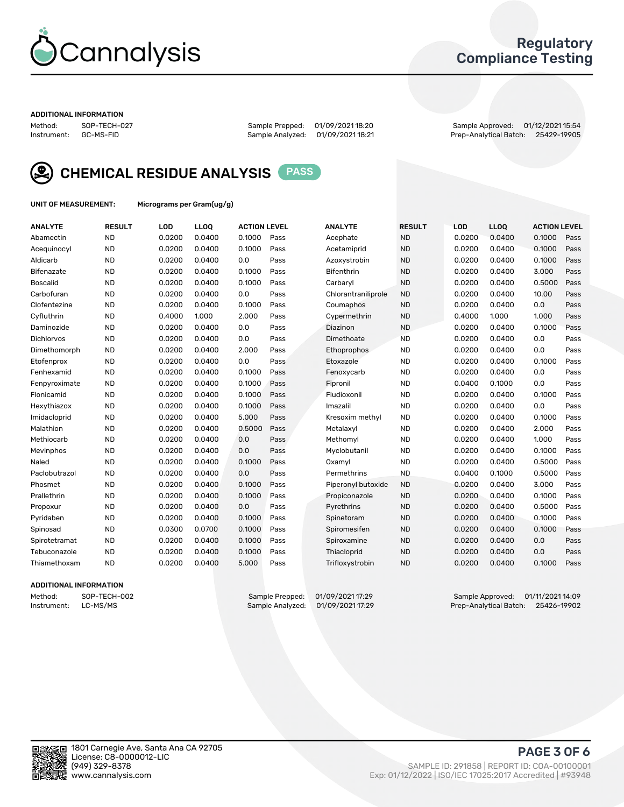

## Regulatory Compliance Testing

#### ADDITIONAL INFORMATION

Method: SOP-TECH-027 Sample Prepped: 01/09/2021 18:20 Sample Approved: 01/12/2021 15:54 Prep-Analytical Batch: 25429-19905



CHEMICAL RESIDUE ANALYSIS PASS

UNIT OF MEASUREMENT: Micrograms per Gram(ug/g)

| <b>ANALYTE</b>  | <b>RESULT</b> | LOD    | LLOQ   | <b>ACTION LEVEL</b> |      | <b>ANALYTE</b>      | <b>RESULT</b> | LOD    | <b>LLOQ</b> | <b>ACTION LEVEL</b> |      |
|-----------------|---------------|--------|--------|---------------------|------|---------------------|---------------|--------|-------------|---------------------|------|
| Abamectin       | <b>ND</b>     | 0.0200 | 0.0400 | 0.1000              | Pass | Acephate            | <b>ND</b>     | 0.0200 | 0.0400      | 0.1000              | Pass |
| Acequinocyl     | <b>ND</b>     | 0.0200 | 0.0400 | 0.1000              | Pass | Acetamiprid         | <b>ND</b>     | 0.0200 | 0.0400      | 0.1000              | Pass |
| Aldicarb        | <b>ND</b>     | 0.0200 | 0.0400 | 0.0                 | Pass | Azoxystrobin        | <b>ND</b>     | 0.0200 | 0.0400      | 0.1000              | Pass |
| Bifenazate      | <b>ND</b>     | 0.0200 | 0.0400 | 0.1000              | Pass | Bifenthrin          | <b>ND</b>     | 0.0200 | 0.0400      | 3.000               | Pass |
| <b>Boscalid</b> | <b>ND</b>     | 0.0200 | 0.0400 | 0.1000              | Pass | Carbaryl            | <b>ND</b>     | 0.0200 | 0.0400      | 0.5000              | Pass |
| Carbofuran      | <b>ND</b>     | 0.0200 | 0.0400 | 0.0                 | Pass | Chlorantraniliprole | <b>ND</b>     | 0.0200 | 0.0400      | 10.00               | Pass |
| Clofentezine    | <b>ND</b>     | 0.0200 | 0.0400 | 0.1000              | Pass | Coumaphos           | <b>ND</b>     | 0.0200 | 0.0400      | 0.0                 | Pass |
| Cyfluthrin      | <b>ND</b>     | 0.4000 | 1.000  | 2.000               | Pass | Cypermethrin        | <b>ND</b>     | 0.4000 | 1.000       | 1.000               | Pass |
| Daminozide      | <b>ND</b>     | 0.0200 | 0.0400 | 0.0                 | Pass | Diazinon            | <b>ND</b>     | 0.0200 | 0.0400      | 0.1000              | Pass |
| Dichlorvos      | <b>ND</b>     | 0.0200 | 0.0400 | 0.0                 | Pass | Dimethoate          | <b>ND</b>     | 0.0200 | 0.0400      | 0.0                 | Pass |
| Dimethomorph    | <b>ND</b>     | 0.0200 | 0.0400 | 2.000               | Pass | <b>Ethoprophos</b>  | <b>ND</b>     | 0.0200 | 0.0400      | 0.0                 | Pass |
| Etofenprox      | <b>ND</b>     | 0.0200 | 0.0400 | 0.0                 | Pass | Etoxazole           | <b>ND</b>     | 0.0200 | 0.0400      | 0.1000              | Pass |
| Fenhexamid      | <b>ND</b>     | 0.0200 | 0.0400 | 0.1000              | Pass | Fenoxycarb          | <b>ND</b>     | 0.0200 | 0.0400      | 0.0                 | Pass |
| Fenpyroximate   | <b>ND</b>     | 0.0200 | 0.0400 | 0.1000              | Pass | Fipronil            | <b>ND</b>     | 0.0400 | 0.1000      | 0.0                 | Pass |
| Flonicamid      | <b>ND</b>     | 0.0200 | 0.0400 | 0.1000              | Pass | Fludioxonil         | <b>ND</b>     | 0.0200 | 0.0400      | 0.1000              | Pass |
| Hexythiazox     | <b>ND</b>     | 0.0200 | 0.0400 | 0.1000              | Pass | Imazalil            | <b>ND</b>     | 0.0200 | 0.0400      | 0.0                 | Pass |
| Imidacloprid    | <b>ND</b>     | 0.0200 | 0.0400 | 5.000               | Pass | Kresoxim methyl     | <b>ND</b>     | 0.0200 | 0.0400      | 0.1000              | Pass |
| Malathion       | <b>ND</b>     | 0.0200 | 0.0400 | 0.5000              | Pass | Metalaxyl           | <b>ND</b>     | 0.0200 | 0.0400      | 2.000               | Pass |
| Methiocarb      | <b>ND</b>     | 0.0200 | 0.0400 | 0.0                 | Pass | Methomyl            | <b>ND</b>     | 0.0200 | 0.0400      | 1.000               | Pass |
| Mevinphos       | <b>ND</b>     | 0.0200 | 0.0400 | 0.0                 | Pass | Myclobutanil        | <b>ND</b>     | 0.0200 | 0.0400      | 0.1000              | Pass |
| Naled           | <b>ND</b>     | 0.0200 | 0.0400 | 0.1000              | Pass | Oxamyl              | <b>ND</b>     | 0.0200 | 0.0400      | 0.5000              | Pass |
| Paclobutrazol   | <b>ND</b>     | 0.0200 | 0.0400 | 0.0                 | Pass | Permethrins         | <b>ND</b>     | 0.0400 | 0.1000      | 0.5000              | Pass |
| Phosmet         | <b>ND</b>     | 0.0200 | 0.0400 | 0.1000              | Pass | Piperonyl butoxide  | <b>ND</b>     | 0.0200 | 0.0400      | 3.000               | Pass |
| Prallethrin     | <b>ND</b>     | 0.0200 | 0.0400 | 0.1000              | Pass | Propiconazole       | <b>ND</b>     | 0.0200 | 0.0400      | 0.1000              | Pass |
| Propoxur        | <b>ND</b>     | 0.0200 | 0.0400 | 0.0                 | Pass | Pyrethrins          | <b>ND</b>     | 0.0200 | 0.0400      | 0.5000              | Pass |
| Pyridaben       | <b>ND</b>     | 0.0200 | 0.0400 | 0.1000              | Pass | Spinetoram          | <b>ND</b>     | 0.0200 | 0.0400      | 0.1000              | Pass |
| Spinosad        | <b>ND</b>     | 0.0300 | 0.0700 | 0.1000              | Pass | Spiromesifen        | <b>ND</b>     | 0.0200 | 0.0400      | 0.1000              | Pass |
| Spirotetramat   | <b>ND</b>     | 0.0200 | 0.0400 | 0.1000              | Pass | Spiroxamine         | <b>ND</b>     | 0.0200 | 0.0400      | 0.0                 | Pass |
| Tebuconazole    | <b>ND</b>     | 0.0200 | 0.0400 | 0.1000              | Pass | Thiacloprid         | <b>ND</b>     | 0.0200 | 0.0400      | 0.0                 | Pass |
| Thiamethoxam    | <b>ND</b>     | 0.0200 | 0.0400 | 5.000               | Pass | Trifloxystrobin     | <b>ND</b>     | 0.0200 | 0.0400      | 0.1000              | Pass |
|                 |               |        |        |                     |      |                     |               |        |             |                     |      |

### ADDITIONAL INFORMATION

Method: SOP-TECH-002 Sample Prepped: 01/09/2021 17:29 Sample Approved: 01/11/2021 14:09<br>Instrument: LC-MS/MS Sample Analyzed: 01/09/2021 17:29 Prep-Analytical Batch: 25426-19902 Prep-Analytical Batch: 25426-19902

PAGE 3 OF 6

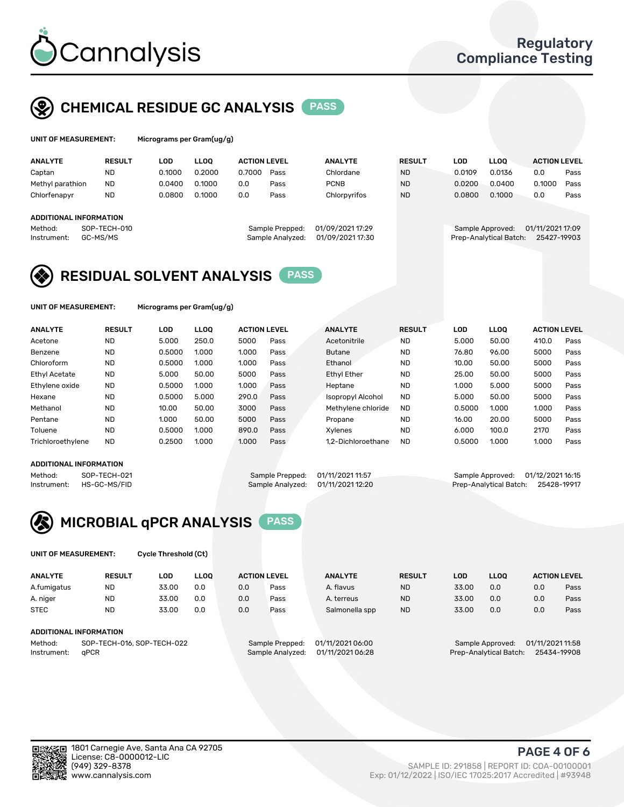

## CHEMICAL RESIDUE GC ANALYSIS PASS

ims per Gram(ug/g)

| <b>ANALYTE</b>                | <b>RESULT</b> | <b>LOD</b> | <b>LLOO</b> | <b>ACTION LEVEL</b> |                  | <b>ANALYTE</b>   | <b>RESULT</b> | LOD              | <b>LLOO</b>            | <b>ACTION LEVEL</b> |      |
|-------------------------------|---------------|------------|-------------|---------------------|------------------|------------------|---------------|------------------|------------------------|---------------------|------|
| Captan                        | <b>ND</b>     | 0.1000     | 0.2000      | 0.7000              | Pass             | Chlordane        | <b>ND</b>     | 0.0109           | 0.0136                 | 0.0                 | Pass |
| Methyl parathion              | <b>ND</b>     | 0.0400     | 0.1000      | 0.0                 | Pass             | <b>PCNB</b>      | <b>ND</b>     | 0.0200           | 0.0400                 | 0.1000              | Pass |
| Chlorfenapyr                  | <b>ND</b>     | 0.0800     | 0.1000      | 0.0                 | Pass             | Chlorpyrifos     | <b>ND</b>     | 0.0800           | 0.1000                 | 0.0                 | Pass |
|                               |               |            |             |                     |                  |                  |               |                  |                        |                     |      |
| <b>ADDITIONAL INFORMATION</b> |               |            |             |                     |                  |                  |               |                  |                        |                     |      |
| Method:                       | SOP-TECH-010  |            |             |                     | Sample Prepped:  | 01/09/2021 17:29 |               | Sample Approved: |                        | 01/11/2021 17:09    |      |
| Instrument:                   | GC-MS/MS      |            |             |                     | Sample Analyzed: | 01/09/2021 17:30 |               |                  | Prep-Analytical Batch: | 25427-19903         |      |
|                               |               |            |             |                     |                  |                  |               |                  |                        |                     |      |

## RESIDUAL SOLVENT ANALYSIS PASS

UNIT OF MEASUREMENT: Micrograms per Gram(ug/g)

| <b>ANALYTE</b>       | <b>RESULT</b> | LOD    | <b>LLOO</b> | <b>ACTION LEVEL</b> |      | <b>ANALYTE</b>           | <b>RESULT</b> | LOD    | LLOO  | <b>ACTION LEVEL</b> |      |
|----------------------|---------------|--------|-------------|---------------------|------|--------------------------|---------------|--------|-------|---------------------|------|
| Acetone              | <b>ND</b>     | 5.000  | 250.0       | 5000                | Pass | Acetonitrile             | <b>ND</b>     | 5.000  | 50.00 | 410.0               | Pass |
| Benzene              | <b>ND</b>     | 0.5000 | 1.000       | 1.000               | Pass | <b>Butane</b>            | <b>ND</b>     | 76.80  | 96.00 | 5000                | Pass |
| Chloroform           | <b>ND</b>     | 0.5000 | 1.000       | 1.000               | Pass | Ethanol                  | <b>ND</b>     | 10.00  | 50.00 | 5000                | Pass |
| <b>Ethyl Acetate</b> | <b>ND</b>     | 5.000  | 50.00       | 5000                | Pass | <b>Ethyl Ether</b>       | <b>ND</b>     | 25.00  | 50.00 | 5000                | Pass |
| Ethylene oxide       | <b>ND</b>     | 0.5000 | 1.000       | 1.000               | Pass | Heptane                  | <b>ND</b>     | 1.000  | 5.000 | 5000                | Pass |
| Hexane               | <b>ND</b>     | 0.5000 | 5.000       | 290.0               | Pass | <b>Isopropyl Alcohol</b> | <b>ND</b>     | 5.000  | 50.00 | 5000                | Pass |
| Methanol             | <b>ND</b>     | 10.00  | 50.00       | 3000                | Pass | Methylene chloride       | <b>ND</b>     | 0.5000 | 1.000 | 1.000               | Pass |
| Pentane              | <b>ND</b>     | 1.000  | 50.00       | 5000                | Pass | Propane                  | <b>ND</b>     | 16.00  | 20.00 | 5000                | Pass |
| Toluene              | <b>ND</b>     | 0.5000 | 1.000       | 890.0               | Pass | Xvlenes                  | <b>ND</b>     | 6.000  | 100.0 | 2170                | Pass |
| Trichloroethylene    | <b>ND</b>     | 0.2500 | 1.000       | 1.000               | Pass | 1.2-Dichloroethane       | <b>ND</b>     | 0.5000 | 1.000 | 1.000               | Pass |

### ADDITIONAL INFORMATION

Method: SOP-TECH-021 Sample Prepped: 01/11/2021 11:57 Sample Approved: 01/12/2021 16:15<br>Instrument: HS-GC-MS/FID Sample Analyzed: 01/11/2021 12:20 Prep-Analytical Batch: 25428-19917 Prep-Analytical Batch: 25428-19917



UNIT OF MEASUREMENT: Cycle Threshold (Ct)

| <b>ANALYTE</b> | <b>RESULT</b>              | LOD   | <b>LLOO</b> |     | <b>ACTION LEVEL</b> | <b>ANALYTE</b>   | <b>RESULT</b> | <b>LOD</b> | <b>LLOO</b>      |                  | <b>ACTION LEVEL</b> |
|----------------|----------------------------|-------|-------------|-----|---------------------|------------------|---------------|------------|------------------|------------------|---------------------|
| A.fumigatus    | ND                         | 33.00 | 0.0         | 0.0 | Pass                | A. flavus        | <b>ND</b>     | 33.00      | 0.0              | 0.0              | Pass                |
| A. niger       | <b>ND</b>                  | 33.00 | 0.0         | 0.0 | Pass                | A. terreus       | <b>ND</b>     | 33.00      | 0.0              | 0.0              | Pass                |
| <b>STEC</b>    | <b>ND</b>                  | 33.00 | 0.0         | 0.0 | Pass                | Salmonella spp   | <b>ND</b>     | 33.00      | 0.0              | 0.0              | Pass                |
|                | ADDITIONAL INFORMATION     |       |             |     |                     |                  |               |            |                  |                  |                     |
| Method:        | SOP-TECH-016, SOP-TECH-022 |       |             |     | Sample Prepped:     | 01/11/2021 06:00 |               |            | Sample Approved: | 01/11/2021 11:58 |                     |

Instrument: qPCR Sample Analyzed: 01/11/2021 06:28 Prep-Analytical Batch: 25434-19908

PAGE 4 OF 6

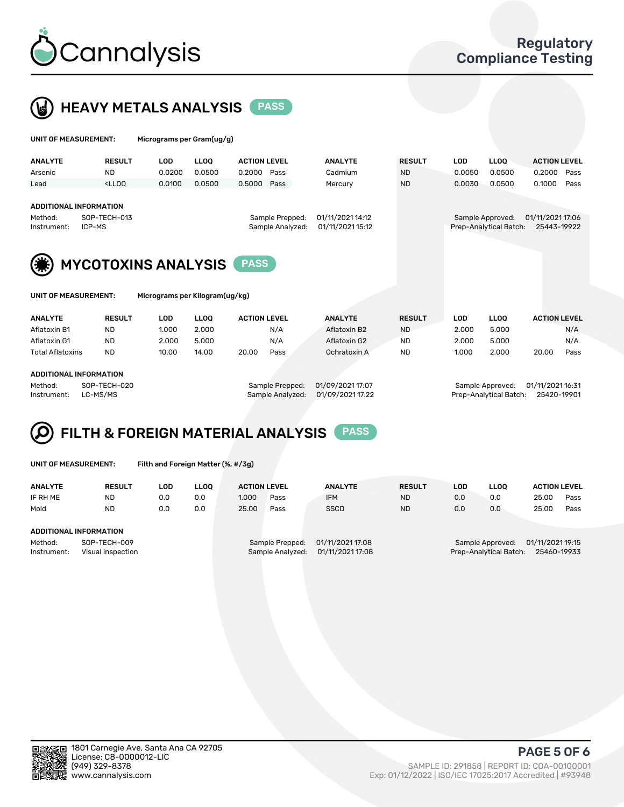



| UNIT OF MEASUREMENT:                                    |                                                                                                                                                                         | Micrograms per Gram(ug/g)      |             |                     |                                     |                                      |               |            |                                            |                                 |
|---------------------------------------------------------|-------------------------------------------------------------------------------------------------------------------------------------------------------------------------|--------------------------------|-------------|---------------------|-------------------------------------|--------------------------------------|---------------|------------|--------------------------------------------|---------------------------------|
| <b>ANALYTE</b>                                          | <b>RESULT</b>                                                                                                                                                           | LOD                            | <b>LLOO</b> | <b>ACTION LEVEL</b> |                                     | <b>ANALYTE</b>                       | <b>RESULT</b> | <b>LOD</b> | <b>LLOQ</b>                                | <b>ACTION LEVEL</b>             |
| Arsenic                                                 | ND.                                                                                                                                                                     | 0.0200                         | 0.0500      | 0.2000              | Pass                                | Cadmium                              | <b>ND</b>     | 0.0050     | 0.0500                                     | 0.2000<br>Pass                  |
| Lead                                                    | <lloo< td=""><td>0.0100</td><td>0.0500</td><td>0.5000</td><td>Pass</td><td>Mercury</td><td><b>ND</b></td><td>0.0030</td><td>0.0500</td><td>0.1000<br/>Pass</td></lloo<> | 0.0100                         | 0.0500      | 0.5000              | Pass                                | Mercury                              | <b>ND</b>     | 0.0030     | 0.0500                                     | 0.1000<br>Pass                  |
| <b>ADDITIONAL INFORMATION</b><br>Method:<br>Instrument: | SOP-TECH-013<br>ICP-MS                                                                                                                                                  |                                |             |                     | Sample Prepped:<br>Sample Analyzed: | 01/11/2021 14:12<br>01/11/2021 15:12 |               |            | Sample Approved:<br>Prep-Analytical Batch: | 01/11/2021 17:06<br>25443-19922 |
|                                                         | <b>MYCOTOXINS ANALYSIS</b>                                                                                                                                              |                                |             | <b>PASS</b>         |                                     |                                      |               |            |                                            |                                 |
| UNIT OF MEASUREMENT:                                    |                                                                                                                                                                         | Micrograms per Kilogram(ug/kg) |             |                     |                                     |                                      |               |            |                                            |                                 |
| <b>ANALYTE</b>                                          | <b>RESULT</b>                                                                                                                                                           | LOD                            | <b>LLOO</b> | <b>ACTION LEVEL</b> |                                     | <b>ANALYTE</b>                       | <b>RESULT</b> | <b>LOD</b> | <b>LLOO</b>                                | <b>ACTION LEVEL</b>             |

| .                       | .                      | ---   | ----  | ____________    | --------         | .         | ---   | ----             | ____________     |      |
|-------------------------|------------------------|-------|-------|-----------------|------------------|-----------|-------|------------------|------------------|------|
| Aflatoxin B1            | <b>ND</b>              | 1.000 | 2.000 | N/A             | Aflatoxin B2     | <b>ND</b> | 2.000 | 5.000            |                  | N/A  |
| Aflatoxin G1            | <b>ND</b>              | 2.000 | 5.000 | N/A             | Aflatoxin G2     | <b>ND</b> | 2.000 | 5.000            |                  | N/A  |
| <b>Total Aflatoxins</b> | <b>ND</b>              | 10.00 | 14.00 | 20.00<br>Pass   | Ochratoxin A     | ND        | 1.000 | 2.000            | 20.00            | Pass |
|                         |                        |       |       |                 |                  |           |       |                  |                  |      |
|                         | ADDITIONAL INFORMATION |       |       |                 |                  |           |       |                  |                  |      |
| Method:                 | SOP-TECH-020           |       |       | Sample Prepped: | 01/09/2021 17:07 |           |       | Sample Approved: | 01/11/2021 16:31 |      |

Instrument: LC-MS/MS Sample Analyzed: 01/09/2021 17:22 Prep-Analytical Batch: 25420-19901



UNIT OF MEASUREMENT: Filth and Foreign Matter (%, #/3g)

| <b>ANALYTE</b>                                              | <b>RESULT</b>                 | LOD | <b>LLOO</b> | <b>ACTION LEVEL</b>                                                         |      | <b>ANALYTE</b> | <b>RESULT</b> | LOD                                                                           | <b>LLOO</b> | <b>ACTION LEVEL</b> |      |
|-------------------------------------------------------------|-------------------------------|-----|-------------|-----------------------------------------------------------------------------|------|----------------|---------------|-------------------------------------------------------------------------------|-------------|---------------------|------|
| IF RH ME                                                    | <b>ND</b>                     | 0.0 | 0.0         | 1.000                                                                       | Pass | <b>IFM</b>     | <b>ND</b>     | 0.0                                                                           | 0.0         | 25.00               | Pass |
| Mold                                                        | <b>ND</b>                     | 0.0 | 0.0         | 25.00                                                                       | Pass | <b>SSCD</b>    | <b>ND</b>     | 0.0                                                                           | 0.0         | 25.00               | Pass |
|                                                             | <b>ADDITIONAL INFORMATION</b> |     |             |                                                                             |      |                |               |                                                                               |             |                     |      |
| Method:<br>SOP-TECH-009<br>Instrument:<br>Visual Inspection |                               |     |             | 01/11/2021 17:08<br>Sample Prepped:<br>01/11/2021 17:08<br>Sample Analyzed: |      |                |               | 01/11/2021 19:15<br>Sample Approved:<br>25460-19933<br>Prep-Analytical Batch: |             |                     |      |



PAGE 5 OF 6